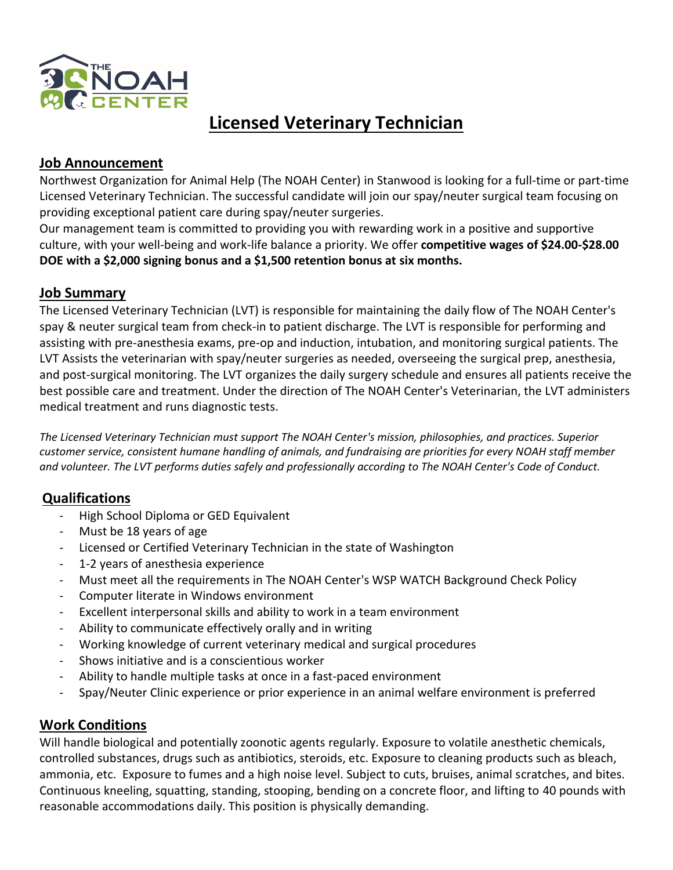

# **Licensed Veterinary Technician**

## **Job Announcement**

Northwest Organization for Animal Help (The NOAH Center) in Stanwood is looking for a full-time or part-time Licensed Veterinary Technician. The successful candidate will join our spay/neuter surgical team focusing on providing exceptional patient care during spay/neuter surgeries.

Our management team is committed to providing you with rewarding work in a positive and supportive culture, with your well-being and work-life balance a priority. We offer **competitive wages of \$24.00-\$28.00 DOE with a \$2,000 signing bonus and a \$1,500 retention bonus at six months.**

## **Job Summary**

The Licensed Veterinary Technician (LVT) is responsible for maintaining the daily flow of The NOAH Center's spay & neuter surgical team from check-in to patient discharge. The LVT is responsible for performing and assisting with pre-anesthesia exams, pre-op and induction, intubation, and monitoring surgical patients. The LVT Assists the veterinarian with spay/neuter surgeries as needed, overseeing the surgical prep, anesthesia, and post-surgical monitoring. The LVT organizes the daily surgery schedule and ensures all patients receive the best possible care and treatment. Under the direction of The NOAH Center's Veterinarian, the LVT administers medical treatment and runs diagnostic tests.

*The Licensed Veterinary Technician must support The NOAH Center's mission, philosophies, and practices. Superior customer service, consistent humane handling of animals, and fundraising are priorities for every NOAH staff member and volunteer. The LVT performs duties safely and professionally according to The NOAH Center's Code of Conduct.*

## **Qualifications**

- High School Diploma or GED Equivalent
- Must be 18 years of age
- Licensed or Certified Veterinary Technician in the state of Washington
- 1-2 years of anesthesia experience
- Must meet all the requirements in The NOAH Center's WSP WATCH Background Check Policy
- Computer literate in Windows environment
- Excellent interpersonal skills and ability to work in a team environment
- Ability to communicate effectively orally and in writing
- Working knowledge of current veterinary medical and surgical procedures
- Shows initiative and is a conscientious worker
- Ability to handle multiple tasks at once in a fast-paced environment
- Spay/Neuter Clinic experience or prior experience in an animal welfare environment is preferred

## **Work Conditions**

Will handle biological and potentially zoonotic agents regularly. Exposure to volatile anesthetic chemicals, controlled substances, drugs such as antibiotics, steroids, etc. Exposure to cleaning products such as bleach, ammonia, etc. Exposure to fumes and a high noise level. Subject to cuts, bruises, animal scratches, and bites. Continuous kneeling, squatting, standing, stooping, bending on a concrete floor, and lifting to 40 pounds with reasonable accommodations daily. This position is physically demanding.